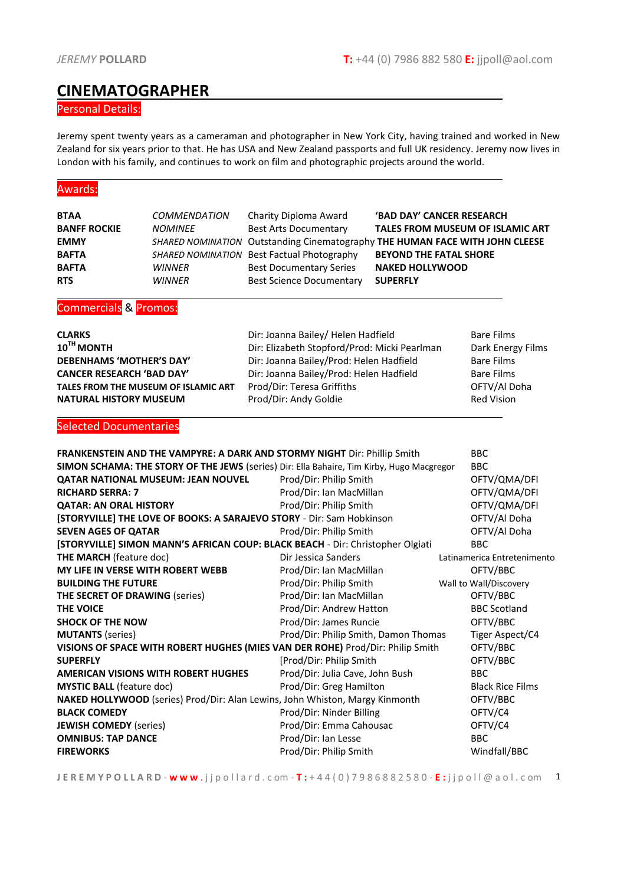## **CINEMATOGRAPHER**

### Personal Details:

Jeremy spent twenty years as a cameraman and photographer in New York City, having trained and worked in New Zealand for six years prior to that. He has USA and New Zealand passports and full UK residency. Jeremy now lives in London with his family, and continues to work on film and photographic projects around the world.

#### Awards:

| <b>BTAA</b>                           | <b>COMMENDATION</b>                        | <b>Charity Diploma Award</b>                                                              | 'BAD DAY' CANCER RESEARCH     |                             |
|---------------------------------------|--------------------------------------------|-------------------------------------------------------------------------------------------|-------------------------------|-----------------------------|
| <b>BANFF ROCKIE</b>                   | <b>NOMINEE</b>                             | TALES FROM MUSEUM OF ISLAMIC ART<br><b>Best Arts Documentary</b>                          |                               |                             |
| <b>EMMY</b>                           | <b>SHARED NOMINATION</b>                   | Outstanding Cinematography THE HUMAN FACE WITH JOHN CLEESE                                |                               |                             |
| <b>BAFTA</b>                          |                                            | SHARED NOMINATION Best Factual Photography                                                | <b>BEYOND THE FATAL SHORE</b> |                             |
| <b>BAFTA</b>                          | <b>WINNER</b>                              | <b>Best Documentary Series</b>                                                            | <b>NAKED HOLLYWOOD</b>        |                             |
| <b>RTS</b>                            | <b>WINNER</b>                              | <b>Best Science Documentary</b>                                                           | <b>SUPERFLY</b>               |                             |
| <b>Commercials &amp; Promos:</b>      |                                            |                                                                                           |                               |                             |
| <b>CLARKS</b>                         |                                            | Dir: Joanna Bailey/ Helen Hadfield                                                        |                               | <b>Bare Films</b>           |
| 10TH MONTH                            |                                            | Dir: Elizabeth Stopford/Prod: Micki Pearlman                                              |                               | Dark Energy Films           |
| <b>DEBENHAMS 'MOTHER'S DAY'</b>       |                                            | Dir: Joanna Bailey/Prod: Helen Hadfield                                                   |                               | <b>Bare Films</b>           |
| <b>CANCER RESEARCH 'BAD DAY'</b>      |                                            | Dir: Joanna Bailey/Prod: Helen Hadfield                                                   |                               | <b>Bare Films</b>           |
|                                       | TALES FROM THE MUSEUM OF ISLAMIC ART       | Prod/Dir: Teresa Griffiths                                                                |                               | OFTV/Al Doha                |
| <b>NATURAL HISTORY MUSEUM</b>         |                                            | Prod/Dir: Andy Goldie                                                                     |                               | <b>Red Vision</b>           |
| <b>Selected Documentaries</b>         |                                            |                                                                                           |                               |                             |
|                                       |                                            |                                                                                           |                               |                             |
|                                       |                                            | FRANKENSTEIN AND THE VAMPYRE: A DARK AND STORMY NIGHT Dir: Phillip Smith                  |                               | <b>BBC</b>                  |
|                                       |                                            | SIMON SCHAMA: THE STORY OF THE JEWS (series) Dir: Ella Bahaire, Tim Kirby, Hugo Macgregor |                               | <b>BBC</b>                  |
|                                       | <b>QATAR NATIONAL MUSEUM: JEAN NOUVEL</b>  | Prod/Dir: Philip Smith                                                                    |                               | OFTV/QMA/DFI                |
| <b>RICHARD SERRA: 7</b>               |                                            | Prod/Dir: Ian MacMillan                                                                   |                               | OFTV/QMA/DFI                |
| <b>QATAR: AN ORAL HISTORY</b>         |                                            | Prod/Dir: Philip Smith                                                                    |                               | OFTV/QMA/DFI                |
|                                       |                                            | [STORYVILLE] THE LOVE OF BOOKS: A SARAJEVO STORY - Dir: Sam Hobkinson                     |                               | OFTV/Al Doha                |
| <b>SEVEN AGES OF QATAR</b>            |                                            | Prod/Dir: Philip Smith                                                                    |                               | OFTV/Al Doha                |
|                                       |                                            | [STORYVILLE] SIMON MANN'S AFRICAN COUP: BLACK BEACH - Dir: Christopher Olgiati            |                               | <b>BBC</b>                  |
| <b>THE MARCH (feature doc)</b>        |                                            | Dir Jessica Sanders                                                                       |                               | Latinamerica Entretenimento |
|                                       | MY LIFE IN VERSE WITH ROBERT WEBB          | Prod/Dir: Ian MacMillan                                                                   |                               | OFTV/BBC                    |
| <b>BUILDING THE FUTURE</b>            |                                            | Prod/Dir: Philip Smith                                                                    |                               | Wall to Wall/Discovery      |
| <b>THE SECRET OF DRAWING (series)</b> |                                            | Prod/Dir: Ian MacMillan                                                                   |                               | OFTV/BBC                    |
| THE VOICE                             |                                            | Prod/Dir: Andrew Hatton                                                                   |                               | <b>BBC Scotland</b>         |
| <b>SHOCK OF THE NOW</b>               |                                            | Prod/Dir: James Runcie                                                                    |                               | OFTV/BBC                    |
| <b>MUTANTS</b> (series)               |                                            | Prod/Dir: Philip Smith, Damon Thomas                                                      |                               | Tiger Aspect/C4             |
|                                       |                                            | VISIONS OF SPACE WITH ROBERT HUGHES (MIES VAN DER ROHE) Prod/Dir: Philip Smith            |                               | OFTV/BBC                    |
| <b>SUPERFLY</b>                       |                                            | [Prod/Dir: Philip Smith                                                                   |                               | OFTV/BBC                    |
|                                       | <b>AMERICAN VISIONS WITH ROBERT HUGHES</b> | Prod/Dir: Julia Cave, John Bush                                                           |                               | <b>BBC</b>                  |
| <b>MYSTIC BALL</b> (feature doc)      |                                            | Prod/Dir: Greg Hamilton                                                                   |                               | <b>Black Rice Films</b>     |
|                                       |                                            | <b>NAKED HOLLYWOOD</b> (series) Prod/Dir: Alan Lewins, John Whiston, Margy Kinmonth       |                               | OFTV/BBC                    |
| <b>BLACK COMEDY</b>                   |                                            | Prod/Dir: Ninder Billing                                                                  |                               | OFTV/C4                     |
| <b>JEWISH COMEDY (series)</b>         |                                            | Prod/Dir: Emma Cahousac                                                                   |                               | OFTV/C4                     |

**J E R E M Y P O L L A R D** - **w w w** . j j p o l l a r d . c om - **T :** + 4 4 ( 0 ) 7 9 8 6 8 8 2 5 8 0 - **E :** j j p o l l @ a o l . c om 1

**FIREWORKS** Prod/Dir: Philip Smith Windfall/BBC

**OMNIBUS: TAP DANCE** BBC **Prod/Dir: Ian Lesse** BBC